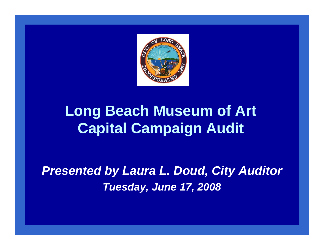

# **Long Beach Museum of Art Capital Campaign Audit**

*Presented by Laura L. Doud, City Auditor Tuesday, June 17, 2008*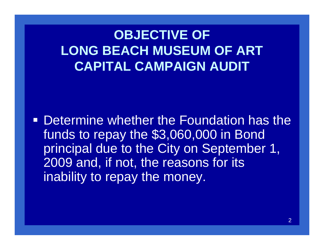# **OBJECTIVE OF LONG BEACH MUSEUM OF ART CAPITAL CAMPAIGN AUDIT**

**• Determine whether the Foundation has the** funds to repay the \$3,060,000 in Bond principal due to the City on September 1, 2009 and, if not, the reasons for its inability to repay the money.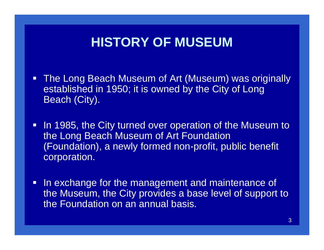## **HISTORY OF MUSEUM**

- **The Long Beach Museum of Art (Museum) was originally** established in 1950; it is owned by the City of Long Beach (City).
- In 1985, the City turned over operation of the Museum to the Long Beach Museum of Art Foundation (Foundation), a newly formed non-profit, public benefit corporation.
- $\blacksquare$  In exchange for the management and maintenance of the Museum, the City provides a base level of support to the Foundation on an annual basis.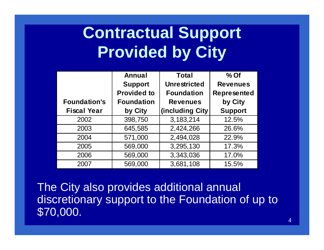# **Contractual Support Provided by City**

|                     | Annual             | <b>Total</b>        | $%$ Of             |
|---------------------|--------------------|---------------------|--------------------|
|                     | <b>Support</b>     | <b>Unrestricted</b> | <b>Revenues</b>    |
|                     | <b>Provided to</b> | <b>Foundation</b>   | <b>Represented</b> |
| <b>Foundation's</b> | <b>Foundation</b>  | <b>Revenues</b>     | by City            |
| <b>Fiscal Year</b>  | by City            | (including City)    | <b>Support</b>     |
| 2002                | 398,750            | 3,183,214           | 12.5%              |
| 2003                | 645,585            | 2,424,266           | 26.6%              |
| 2004                | 571,000            | 2,494,028           | 22.9%              |
| 2005                | 569,000            | 3,295,130           | 17.3%              |
| 2006                | 569,000            | 3,343,036           | 17.0%              |
| 2007                | 569,000            | 3,681,108           | 15.5%              |

The City also provides additional annual discretionary support to the Foundation of up to \$70,000.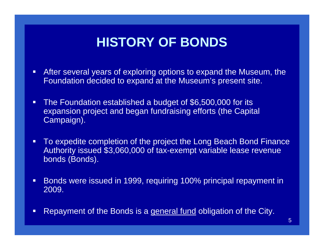# **HISTORY OF BONDS**

- $\blacksquare$  After several years of exploring options to expand the Museum, the Foundation decided to expand at the Museum's present site.
- $\blacksquare$  The Foundation established a budget of \$6,500,000 for its expansion project and began fundraising efforts (the Capital Campaign).
- $\blacksquare$  To expedite completion of the project the Long Beach Bond Finance Authority issued \$3,060,000 of tax-exempt variable lease revenue bonds (Bonds).
- $\blacksquare$  Bonds were issued in 1999, requiring 100% principal repayment in 2009.
- $\Box$ Repayment of the Bonds is a general fund obligation of the City.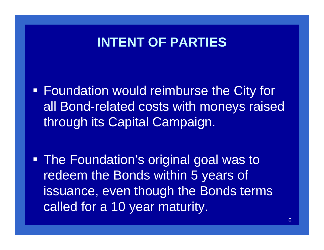### **INTENT OF PARTIES**

**Foundation would reimburse the City for** all Bond-related costs with moneys raised through its Capital Campaign.

 The Foundation's original goal was to redeem the Bonds within 5 years of issuance, even though the Bonds terms called for a 10 year maturity.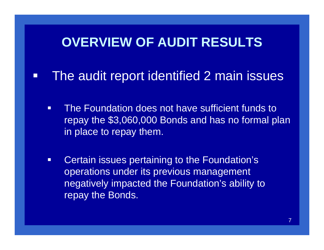### **OVERVIEW OF AUDIT RESULTS**

#### $\Box$ The audit report identified 2 main issues

- $\Box$  The Foundation does not have sufficient funds to repay the \$3,060,000 Bonds and has no formal plan in place to repay them.
- $\Box$  Certain issues pertaining to the Foundation's operations under its previous management negatively impacted the Foundation's ability to repay the Bonds.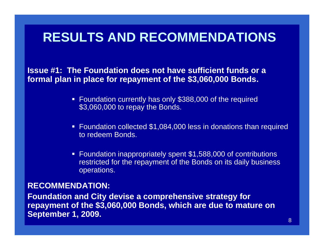## **RESULTS AND RECOMMENDATIONS**

**Issue #1: The Foundation does not have sufficient funds or a formal plan in place for repayment of the \$3,060,000 Bonds.**

- Foundation currently has only \$388,000 of the required \$3,060,000 to repay the Bonds.
- Foundation collected \$1,084,000 less in donations than required to redeem Bonds.
- Foundation inappropriately spent \$1,588,000 of contributions restricted for the repayment of the Bonds on its daily business operations.

#### **RECOMMENDATION:**

**Foundation and City devise a comprehensive strategy for repayment of the \$3,060,000 Bonds, which are due to mature on September 1, 2009.**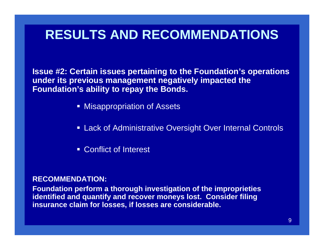# **RESULTS AND RECOMMENDATIONS**

**Issue #2: Certain issues pertaining to the Foundation's operations under its previous management negatively impacted the Foundation's ability to repay the Bonds.**

- **Misappropriation of Assets**
- Lack of Administrative Oversight Over Internal Controls
- Conflict of Interest

#### **RECOMMENDATION:**

**Foundation perform a thorough investigation of the improprieties identified and quantify and recover moneys lost. Consider filing insurance claim for losses, if losses are considerable.**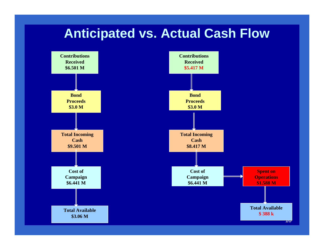### **Anticipated vs. Actual Cash Flow**

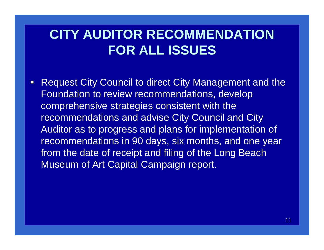# **CITY AUDITOR RECOMMENDATION FOR ALL ISSUES**

 $\Box$  Request City Council to direct City Management and the Foundation to review recommendations, develop comprehensive strategies consistent with the recommendations and advise City Council and City Auditor as to progress and plans for implementation of recommendations in 90 days, six months, and one year from the date of receipt and filing of the Long Beach Museum of Art Capital Campaign report.